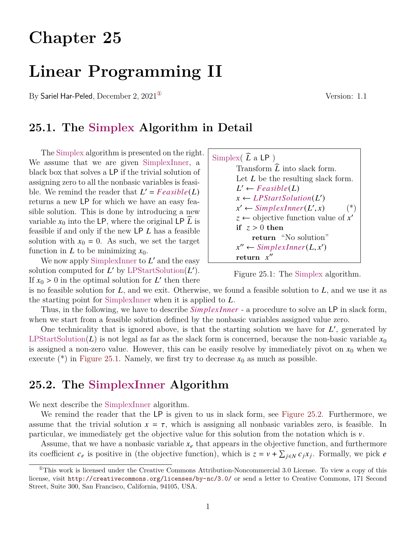# **Chapter 25**

# **Linear Programming II**

By Sariel Har-Peled, December 2,  $2021^{\circ}$  Version: 1.1

### **25.1. The Simplex Algorithm in Detail**

The Simplex algorithm is presented on the right. We assume that we are given SimplexInner, a black box that solves a LP if the trivial solution of assigning zero to all the nonbasic variables is feasible. We remind the reader that  $L' = Feasible(L)$ returns a new LP for which we have an easy feasible solution. This is done by introducing a new variable  $x_0$  into the LP, where the original LP  $\hat{L}$  is feasible if and only if the new  $\mathsf{LP}\;L$  has a feasible solution with  $x_0 = 0$ . As such, we set the target function in L to be minimizing  $x_0$ .

We now apply SimplexInner to  $L'$  and the easy solution computed for  $L'$  by LPStartSolution( $L'$ ). If  $x_0 > 0$  in the optimal solution for L' then there



<span id="page-0-1"></span>Figure 25.1: The Simplex algorithm.

is no feasible solution for  $L$ , and we exit. Otherwise, we found a feasible solution to  $L$ , and we use it as the starting point for SimplexInner when it is applied to  $L$ .

Thus, in the following, we have to describe *SimplexInner* - a procedure to solve an LP in slack form, when we start from a feasible solution defined by the nonbasic variables assigned value zero.

One technicality that is ignored above, is that the starting solution we have for  $L'$ , generated by LPStartSolution(L) is not legal as far as the slack form is concerned, because the non-basic variable  $x_0$ is assigned a non-zero value. However, this can be easily resolve by immediately pivot on  $x_0$  when we execute (\*) in [Figure 25.1.](#page-0-1) Namely, we first try to decrease  $x_0$  as much as possible.

### **25.2. The SimplexInner Algorithm**

We next describe the SimplexInner algorithm.

We remind the reader that the LP is given to us in slack form, see [Figure 25.2.](#page-1-0) Furthermore, we assume that the trivial solution  $x = \tau$ , which is assigning all nonbasic variables zero, is feasible. In particular, we immediately get the objective value for this solution from the notation which is  $\nu$ .

Assume, that we have a nonbasic variable  $x_e$  that appears in the objective function, and furthermore its coefficient  $c_e$  is positive in (the objective function), which is  $z = v + \sum_{j \in N} c_j x_j$ . Formally, we pick e

<span id="page-0-0"></span> $^{\circ}$ This work is licensed under the Creative Commons Attribution-Noncommercial 3.0 License. To view a copy of this license, visit <http://creativecommons.org/licenses/by-nc/3.0/> or send a letter to Creative Commons, 171 Second Street, Suite 300, San Francisco, California, 94105, USA.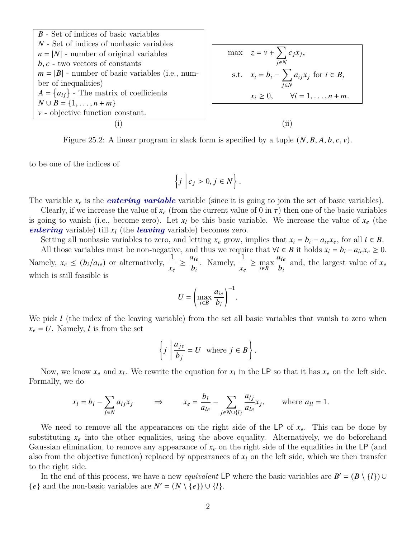<span id="page-1-0"></span>

| $B$ - Set of indices of basic variables           |
|---------------------------------------------------|
| $N$ - Set of indices of nonbasic variables        |
| $n =  N $ - number of original variables          |
| $b, c$ - two vectors of constants                 |
| $m =  B $ - number of basic variables (i.e., num- |
| ber of inequalities)                              |
| $A = \{a_{ij}\}$ - The matrix of coefficients     |
| $N \cup B = \{1, ..., n + m\}$                    |
| $v$ - objective function constant.                |

\n(i)

\n(ii)

Figure 25.2: A linear program in slack form is specified by a tuple  $(N, B, A, b, c, v)$ .

to be one of the indices of

$$
\left\{j \middle| c_j > 0, j \in N \right\}.
$$

The variable  $x_e$  is the *entering variable* variable (since it is going to join the set of basic variables).

Clearly, if we increase the value of  $x_e$  (from the current value of 0 in  $\tau$ ) then one of the basic variables is going to vanish (i.e., become zero). Let  $x_l$  be this basic variable. We increase the value of  $x_e$  (the *entering* variable) till  $x_l$  (the *leaving* variable) becomes zero.

Setting all nonbasic variables to zero, and letting  $x_e$  grow, implies that  $x_i = b_i - a_{ie}x_e$ , for all  $i \in B$ .

All those variables must be non-negative, and thus we require that  $\forall i \in B$  it holds  $x_i = b_i - a_{ie}x_e \geq 0$ . Namely,  $x_e \le (b_i/a_{ie})$  or alternatively,  $\frac{1}{x_e} \ge$  $a_{ie}$  $rac{a_{ie}}{b_i}$ . Namely,  $rac{1}{x_e} \ge \max_{i \in B}$  $a_{ie}$  $\frac{a_{ie}}{b_i}$  and, the largest value of  $x_e$ which is still feasible is

$$
U = \left(\max_{i \in B} \frac{a_{ie}}{b_i}\right)^{-1}.
$$

We pick  $l$  (the index of the leaving variable) from the set all basic variables that vanish to zero when  $x_e = U$ . Namely, l is from the set

$$
\left\{j \ \left|\ \frac{a_{je}}{b_j}=U \ \ \text{where} \ j \in B \right.\right\}.
$$

Now, we know  $x_e$  and  $x_l$ . We rewrite the equation for  $x_l$  in the LP so that it has  $x_e$  on the left side. Formally, we do

$$
x_l = b_l - \sum_{j \in N} a_{lj} x_j \qquad \Rightarrow \qquad x_e = \frac{b_l}{a_{le}} - \sum_{j \in N \cup \{l\}} \frac{a_{lj}}{a_{le}} x_j, \qquad \text{where } a_{ll} = 1.
$$

We need to remove all the appearances on the right side of the LP of  $x_e$ . This can be done by substituting  $x_e$  into the other equalities, using the above equality. Alternatively, we do beforehand Gaussian elimination, to remove any appearance of  $x_e$  on the right side of the equalities in the LP (and also from the objective function) replaced by appearances of  $x_l$  on the left side, which we then transfer to the right side.

In the end of this process, we have a new *equivalent* LP where the basic variables are  $B' = (B \setminus \{l\}) \cup$  ${e}$  and the non-basic variables are  $N' = (N \setminus {e}) \cup {l}.$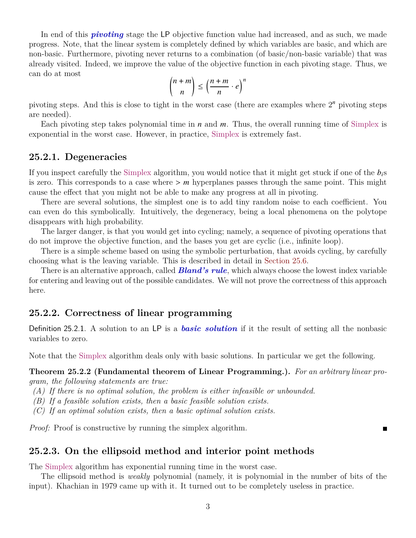In end of this *pivoting* stage the LP objective function value had increased, and as such, we made progress. Note, that the linear system is completely defined by which variables are basic, and which are non-basic. Furthermore, pivoting never returns to a combination (of basic/non-basic variable) that was already visited. Indeed, we improve the value of the objective function in each pivoting stage. Thus, we can do at most

$$
\binom{n+m}{n} \le \left(\frac{n+m}{n} \cdot e\right)^n
$$

pivoting steps. And this is close to tight in the worst case (there are examples where  $2<sup>n</sup>$  pivoting steps are needed).

Each pivoting step takes polynomial time in  $n$  and  $m$ . Thus, the overall running time of Simplex is exponential in the worst case. However, in practice, Simplex is extremely fast.

### **25.2.1. Degeneracies**

If you inspect carefully the Simplex algorithm, you would notice that it might get stuck if one of the  $b_i$ s is zero. This corresponds to a case where  $> m$  hyperplanes passes through the same point. This might cause the effect that you might not be able to make any progress at all in pivoting.

There are several solutions, the simplest one is to add tiny random noise to each coefficient. You can even do this symbolically. Intuitively, the degeneracy, being a local phenomena on the polytope disappears with high probability.

The larger danger, is that you would get into cycling; namely, a sequence of pivoting operations that do not improve the objective function, and the bases you get are cyclic (i.e., infinite loop).

There is a simple scheme based on using the symbolic perturbation, that avoids cycling, by carefully choosing what is the leaving variable. This is described in detail in [Section 25.6.](#page-10-0)

There is an alternative approach, called *Bland's rule*, which always choose the lowest index variable for entering and leaving out of the possible candidates. We will not prove the correctness of this approach here.

### **25.2.2. Correctness of linear programming**

Definition 25.2.1. A solution to an LP is a *basic solution* if it the result of setting all the nonbasic variables to zero.

Note that the Simplex algorithm deals only with basic solutions. In particular we get the following.

**Theorem 25.2.2 (Fundamental theorem of Linear Programming.).** *For an arbitrary linear program, the following statements are true:*

П

- *(A) If there is no optimal solution, the problem is either infeasible or unbounded.*
- *(B) If a feasible solution exists, then a basic feasible solution exists.*
- *(C) If an optimal solution exists, then a basic optimal solution exists.*

*Proof:* Proof is constructive by running the simplex algorithm.

### **25.2.3. On the ellipsoid method and interior point methods**

The Simplex algorithm has exponential running time in the worst case.

The ellipsoid method is *weakly* polynomial (namely, it is polynomial in the number of bits of the input). Khachian in 1979 came up with it. It turned out to be completely useless in practice.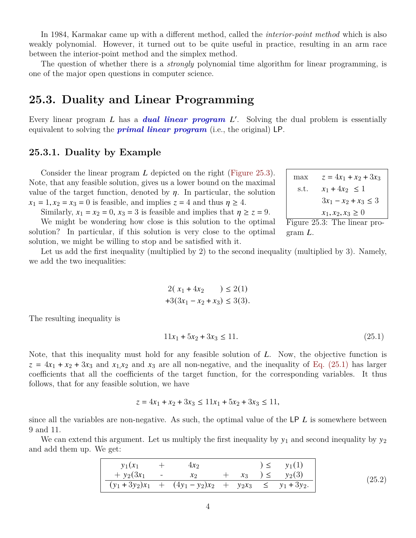In 1984, Karmakar came up with a different method, called the *interior-point method* which is also weakly polynomial. However, it turned out to be quite useful in practice, resulting in an arm race between the interior-point method and the simplex method.

The question of whether there is a *strongly* polynomial time algorithm for linear programming, is one of the major open questions in computer science.

### **25.3. Duality and Linear Programming**

Every linear program L has a *dual linear program L'*. Solving the dual problem is essentially equivalent to solving the *primal linear program* (i.e., the original) LP.

### **25.3.1. Duality by Example**

Consider the linear program  $L$  depicted on the right [\(Figure 25.3\)](#page-3-0). Note, that any feasible solution, gives us a lower bound on the maximal value of the target function, denoted by  $\eta$ . In particular, the solution  $x_1 = 1, x_2 = x_3 = 0$  is feasible, and implies  $z = 4$  and thus  $\eta \ge 4$ .

Similarly,  $x_1 = x_2 = 0$ ,  $x_3 = 3$  is feasible and implies that  $\eta \ge z = 9$ .

We might be wondering how close is this solution to the optimal solution? In particular, if this solution is very close to the optimal solution, we might be willing to stop and be satisfied with it.

$$
\begin{array}{ll}\n\text{max} & z = 4x_1 + x_2 + 3x_3 \\
\text{s.t.} & x_1 + 4x_2 \le 1 \\
& 3x_1 - x_2 + x_3 \le 3 \\
& x_1, x_2, x_3 \ge 0 \\
\text{Figure 25.3: The linear pro-}\n\end{array}
$$

<span id="page-3-0"></span>gram  $L$ .

Let us add the first inequality (multiplied by 2) to the second inequality (multiplied by 3). Namely, we add the two inequalities:

$$
2(x_1 + 4x_2) \le 2(1)
$$
  
+3(3x<sub>1</sub> - x<sub>2</sub> + x<sub>3</sub>)  $\le$  3(3).

The resulting inequality is

<span id="page-3-1"></span>
$$
11x_1 + 5x_2 + 3x_3 \le 11. \tag{25.1}
$$

Note, that this inequality must hold for any feasible solution of  $L$ . Now, the objective function is  $z = 4x_1 + x_2 + 3x_3$  and  $x_1x_2$  and  $x_3$  are all non-negative, and the inequality of [Eq. \(25.1\)](#page-3-1) has larger coefficients that all the coefficients of the target function, for the corresponding variables. It thus follows, that for any feasible solution, we have

<span id="page-3-2"></span>
$$
z = 4x_1 + x_2 + 3x_3 \le 11x_1 + 5x_2 + 3x_3 \le 11,
$$

since all the variables are non-negative. As such, the optimal value of the  $LP L$  is somewhere between 9 and 11.

We can extend this argument. Let us multiply the first inequality by  $y_1$  and second inequality by  $y_2$ and add them up. We get:

| $y_1(x_1)$     |                                                              |  | $) \le y_1(1)$          |        |
|----------------|--------------------------------------------------------------|--|-------------------------|--------|
| $+ y_2(3x_1 -$ | $\mathcal{X}$                                                |  | $+ x_3$ $) \leq y_2(3)$ | (25.2) |
|                | $(y_1 + 3y_2)x_1 + (4y_1 - y_2)x_2 + y_2x_3 \le y_1 + 3y_2.$ |  |                         |        |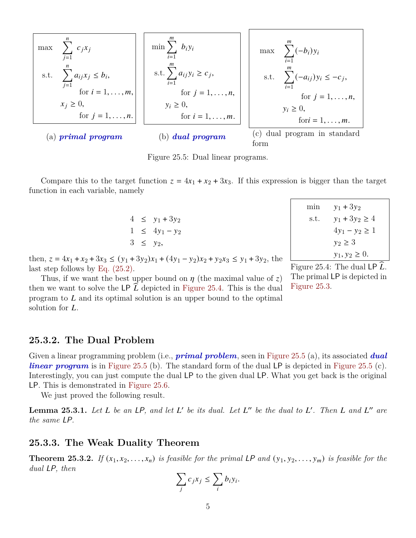<span id="page-4-1"></span>
$$
\begin{array}{|c|c|c|c|}\n\hline\n\text{max} & \sum_{j=1}^{n} c_j x_j \\
\text{s.t.} & \sum_{j=1}^{n} a_{ij} x_j \le b_i, \\
\text{for } i = 1, \ldots, m, \\
x_j \ge 0, \\
\text{for } j = 1, \ldots, n.\n\hline\n\end{array}\n\quad\n\begin{array}{|c|c|c|c|}\n\hline\n\text{min} & \sum_{i=1}^{m} b_i y_i \\
\text{s.t.} & \sum_{i=1}^{m} a_{ij} y_i \ge c_j, \\
\text{s.t.} & \sum_{i=1}^{m} (-a_{ij}) y_i \le -c_j, \\
\text{for } j = 1, \ldots, n, \\
y_i \ge 0, \\
\text{for } i = 1, \ldots, m.\n\hline\n\end{array}\n\quad\n\begin{array}{|c|c|c|}\n\hline\n\text{max} & \sum_{i=1}^{m} (-b_i) y_i \\
\text{s.t.} & \sum_{i=1}^{m} (-a_{ij}) y_i \le -c_j, \\
\text{for } j = 1, \ldots, n, \\
\text{for } j = 1, \ldots, m.\n\hline\n\end{array}\n\quad\n\begin{array}{|c|c|c|c|}\n\hline\n\text{max} & \sum_{i=1}^{m} (-b_i) y_i \\
\text{s.t.} & \sum_{i=1}^{m} (-a_{ij}) y_i \le -c_j, \\
\text{for } j = 1, \ldots, n, \\
\text{for } j = 1, \ldots, m.\n\hline\n\end{array}
$$

Figure 25.5: Dual linear programs.

Compare this to the target function  $z = 4x_1 + x_2 + 3x_3$ . If this expression is bigger than the target function in each variable, namely

> $4 \leq y_1 + 3y_2$  $1 \leq 4y_1 - y_2$  $3 \leq y_2$

| min  | $y_1 + 3y_2$       |
|------|--------------------|
| s.t. | $y_1 + 3y_2 \ge 4$ |
|      | $4y_1 - y_2 \ge 1$ |
|      | $y_2 \geq 3$       |
|      | $y_1, y_2 \geq 0.$ |

then,  $z = 4x_1 + x_2 + 3x_3 \le (y_1 + 3y_2)x_1 + (4y_1 - y_2)x_2 + y_2x_3 \le y_1 + 3y_2$ , the last step follows by [Eq. \(25.2\).](#page-3-2)

Thus, if we want the best upper bound on  $\eta$  (the maximal value of z) then we want to solve the LP  $L$  depicted in [Figure 25.4.](#page-4-0) This is the dual program to  $L$  and its optimal solution is an upper bound to the optimal solution for  $L$ .

<span id="page-4-0"></span>Figure 25.4: The dual LP  $\tilde{L}$ . The primal LP is depicted in [Figure 25.3.](#page-3-0)

### **25.3.2. The Dual Problem**

Given a linear programming problem (i.e., *primal problem*, seen in [Figure 25.5](#page-4-1) (a), its associated *dual linear program* is in [Figure 25.5](#page-4-1) (b). The standard form of the dual LP is depicted in Figure 25.5 (c). Interestingly, you can just compute the dual LP to the given dual LP. What you get back is the original LP. This is demonstrated in [Figure 25.6.](#page-5-0)

We just proved the following result.

**Lemma 25.3.1.** Let L be an LP, and let L' be its dual. Let L'' be the dual to L'. Then L and L'' are *the same* LP*.*

#### **25.3.3. The Weak Duality Theorem**

**Theorem 25.3.2.** *If*  $(x_1, x_2, \ldots, x_n)$  *is feasible for the primal LP and*  $(y_1, y_2, \ldots, y_m)$  *is feasible for the dual* LP*, then*

$$
\sum_j c_j x_j \le \sum_i b_i y_i.
$$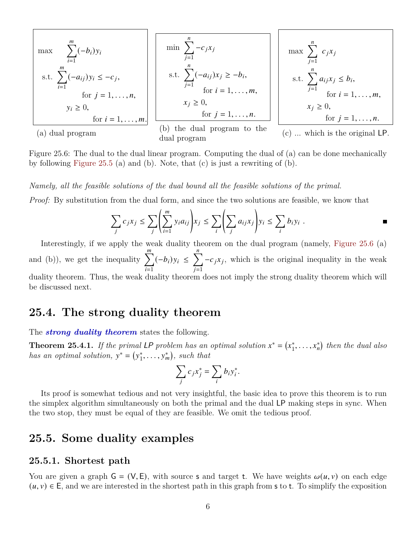<span id="page-5-0"></span>
$$
\begin{array}{|l|l|}\n\hline\n\text{max} & \sum_{i=1}^{m} (-b_i) y_i \\
\text{s.t.} & \sum_{i=1}^{m} (-a_{ij}) y_i \leq -c_j, \\
\text{for } j = 1, \ldots, n, \\
y_i \geq 0, \\
\hline\n\text{for } i = 1, \ldots, m.\n\hline\n\end{array}\n\quad\n\begin{array}{|l|l|}\n\hline\n\text{min} & \sum_{j=1}^{n} -c_j x_j \\
\text{s.t.} & \sum_{j=1}^{n} (-a_{ij}) x_j \geq -b_i, \\
\text{for } i = 1, \ldots, m, \\
\text{for } i = 1, \ldots, m, \\
\text{for } j = 1, \ldots, n.\n\hline\n\end{array}\n\quad\n\begin{array}{|l|}\n\hline\n\text{max} & \sum_{j=1}^{n} c_j x_j \\
\text{s.t.} & \sum_{j=1}^{n} a_{ij} x_j \leq b_i, \\
\text{s.t.} & \sum_{j=1}^{n} a_{ij} x_j \leq b_i, \\
\text{for } i = 1, \ldots, m, \\
\text{for } i = 1, \ldots, m, \\
\text{(a) dual program to the dual program to the dual program (c) ... which is the original LP.}\n\end{array}
$$

Figure 25.6: The dual to the dual linear program. Computing the dual of (a) can be done mechanically by following [Figure 25.5](#page-4-1) (a) and (b). Note, that  $(c)$  is just a rewriting of  $(b)$ .

*Namely, all the feasible solutions of the dual bound all the feasible solutions of the primal.*

*Proof:* By substitution from the dual form, and since the two solutions are feasible, we know that

$$
\sum_{j} c_j x_j \leq \sum_{j} \left( \sum_{i=1}^{m} y_i a_{ij} \right) x_j \leq \sum_{i} \left( \sum_{j} a_{ij} x_j \right) y_i \leq \sum_{i} b_i y_i .
$$

Interestingly, if we apply the weak duality theorem on the dual program (namely, [Figure 25.6](#page-5-0) (a) and (b)), we get the inequality  $\sum_{n=1}^{m}$  $i=1$  $(-b_i) y_i \leq \sum_{i=1}^{n}$  $\overline{j=1}$  $-c_j x_j$ , which is the original inequality in the weak duality theorem. Thus, the weak duality theorem does not imply the strong duality theorem which will

be discussed next.

### **25.4. The strong duality theorem**

The *strong duality theorem* states the following.

**Theorem 25.4.1.** If the primal LP problem has an optimal solution  $x^* = (x_1^*)$  $\mathbf{f}_1^*, \ldots, \mathbf{x}_n^*$  then the dual also *has an optimal solution,*  $y^* = (y_1^*)$  $\mathbf{y}_1^*, \ldots, \mathbf{y}_m^*$ , such that

$$
\sum_j c_j x_j^* = \sum_i b_i y_i^*.
$$

Its proof is somewhat tedious and not very insightful, the basic idea to prove this theorem is to run the simplex algorithm simultaneously on both the primal and the dual LP making steps in sync. When the two stop, they must be equal of they are feasible. We omit the tedious proof.

### **25.5. Some duality examples**

#### **25.5.1. Shortest path**

You are given a graph  $G = (V, E)$ , with source s and target t. We have weights  $\omega(u, v)$  on each edge  $(u, v) \in E$ , and we are interested in the shortest path in this graph from s to t. To simplify the exposition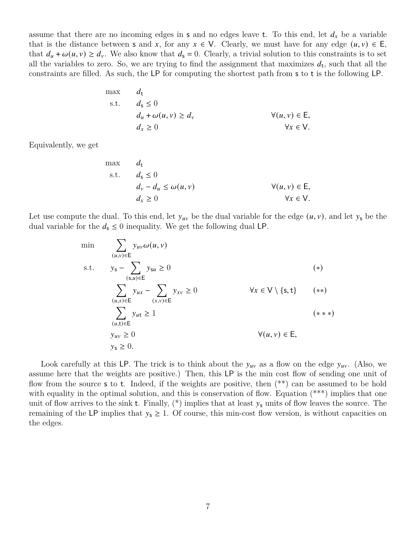assume that there are no incoming edges in s and no edges leave t. To this end, let  $d_x$  be a variable that is the distance between **s** and x, for any  $x \in V$ . Clearly, we must have for any edge  $(u, v) \in E$ , that  $d_u + \omega(u, v) \ge d_v$ . We also know that  $d_s = 0$ . Clearly, a trivial solution to this constraints is to set all the variables to zero. So, we are trying to find the assignment that maximizes  $d_t$ , such that all the constraints are filled. As such, the LP for computing the shortest path from s to t is the following LP.

max 
$$
d_t
$$
  
\ns.t.  $d_s \le 0$   
\n $d_u + \omega(u, v) \ge d_v$   
\n $d_x \ge 0$   
\n $\forall (u, v) \in E,$   
\n $\forall x \in V.$ 

Equivalently, we get

max 
$$
d_t
$$
  
\ns.t.  $d_s \le 0$   
\n $d_v - d_u \le \omega(u, v)$   
\n $d_x \ge 0$   
\n $\forall (u, v) \in E,$   
\n $\forall x \in V.$ 

Let use compute the dual. To this end, let  $y_{uv}$  be the dual variable for the edge  $(u, v)$ , and let  $y_s$  be the dual variable for the  $d_s \leq 0$  inequality. We get the following dual LP.

$$
\min \qquad \sum_{(u,v)\in \mathsf{E}} y_{uv} \omega(u,v)
$$
\n
$$
\text{s.t.} \qquad y_{\mathsf{s}} - \sum_{(\mathsf{s},u)\in \mathsf{E}} y_{\mathsf{s}u} \ge 0 \qquad (*)
$$
\n
$$
\sum_{(u,x)\in \mathsf{E}} y_{ux} - \sum_{(x,v)\in \mathsf{E}} y_{xv} \ge 0 \qquad \forall x \in \mathsf{V} \setminus \{\mathsf{s},\mathsf{t}\} \qquad (**)
$$
\n
$$
\sum_{(u,\mathsf{t})\in \mathsf{E}} y_{u\mathsf{t}} \ge 1 \qquad \qquad (***)
$$
\n
$$
y_{uv} \ge 0 \qquad \qquad \forall (u,v)\in \mathsf{E},
$$
\n
$$
y_{\mathsf{s}} \ge 0.
$$
\n
$$
(*)
$$

Look carefully at this LP. The trick is to think about the  $y_{uv}$  as a flow on the edge  $y_{uv}$ . (Also, we assume here that the weights are positive.) Then, this LP is the min cost flow of sending one unit of flow from the source **s** to **t**. Indeed, if the weights are positive, then  $(**)$  can be assumed to be hold with equality in the optimal solution, and this is conservation of flow. Equation  $(*^{**})$  implies that one unit of flow arrives to the sink t. Finally,  $(*)$  implies that at least  $y_s$  units of flow leaves the source. The remaining of the LP implies that  $y_s \geq 1$ . Of course, this min-cost flow version, is without capacities on the edges.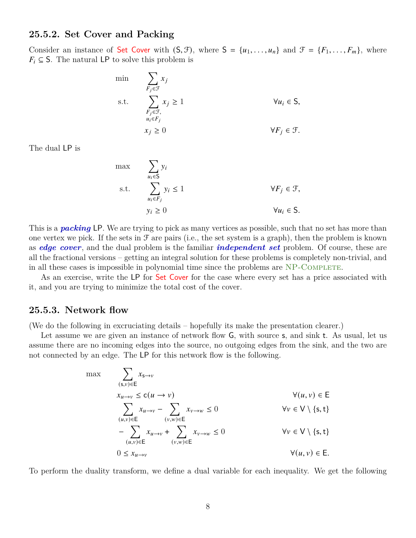### **25.5.2. Set Cover and Packing**

Consider an instance of Set Cover with  $(S, \mathcal{F})$ , where  $S = \{u_1, \ldots, u_n\}$  and  $\mathcal{F} = \{F_1, \ldots, F_m\}$ , where  $F_i \subseteq S$ . The natural LP to solve this problem is

min  
\n
$$
\sum_{F_j \in \mathcal{F}} x_j
$$
\ns.t.  
\n
$$
\sum_{\substack{F_j \in \mathcal{F}, \\ u_i \in F_j}} x_j \ge 1
$$
\n
$$
\forall u_i \in S,
$$
\n
$$
x_j \ge 0
$$
\n
$$
\forall F_j \in \mathcal{F}.
$$

The dual LP is

$$
\begin{aligned}\n\max \quad & \sum_{u_i \in \mathsf{S}} y_i \\
\text{s.t.} \quad & \sum_{u_i \in F_j} y_i \le 1 \\
& \qquad \forall F_j \in \mathcal{F}, \\
& y_i \ge 0\n\end{aligned}
$$

This is a *packing* LP. We are trying to pick as many vertices as possible, such that no set has more than one vertex we pick. If the sets in  $\mathcal F$  are pairs (i.e., the set system is a graph), then the problem is known as *edge cover*, and the dual problem is the familiar *independent set* problem. Of course, these are all the fractional versions – getting an integral solution for these problems is completely non-trivial, and in all these cases is impossible in polynomial time since the problems are NP-COMPLETE.

As an exercise, write the LP for Set Cover for the case where every set has a price associated with it, and you are trying to minimize the total cost of the cover.

### **25.5.3. Network flow**

(We do the following in excruciating details – hopefully its make the presentation clearer.)

Let assume we are given an instance of network flow  $G$ , with source s, and sink t. As usual, let us assume there are no incoming edges into the source, no outgoing edges from the sink, and the two are not connected by an edge. The LP for this network flow is the following.

max  
\n
$$
\sum_{(\mathsf{s},v)\in \mathsf{E}} x_{\mathsf{s}\to v}
$$
\n
$$
x_{u\to v} \le c(u \to v)
$$
\n
$$
\sum_{(u,v)\in \mathsf{E}} x_{u\to v} - \sum_{(v,w)\in \mathsf{E}} x_{v\to w} \le 0
$$
\n
$$
-\sum_{(u,v)\in \mathsf{E}} x_{u\to v} + \sum_{(v,w)\in \mathsf{E}} x_{v\to w} \le 0
$$
\n
$$
0 \le x_{u\to v}
$$
\n
$$
\forall (u, v) \in \mathsf{E}.
$$
\n
$$
\forall (u, v) \in \mathsf{E}.
$$
\n
$$
\forall (u, v) \in \mathsf{E}.
$$

To perform the duality transform, we define a dual variable for each inequality. We get the following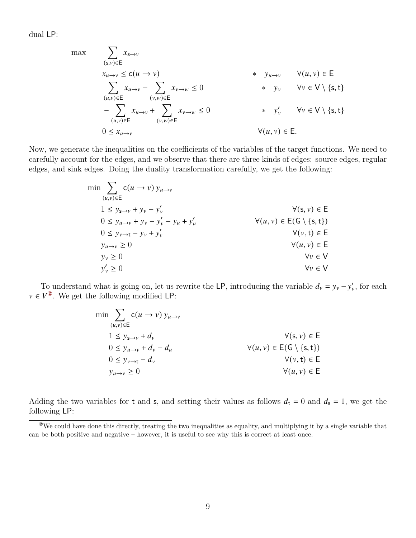dual LP:

max  
\n
$$
\sum_{(\mathsf{s},v)\in\mathsf{E}} x_{\mathsf{s}\to v}
$$
\n
$$
x_{u\to v} \le c(u \to v)
$$
\n
$$
\sum_{(u,v)\in\mathsf{E}} x_{u\to v} - \sum_{(v,w)\in\mathsf{E}} x_{v\to w} \le 0
$$
\n\*  $y_v$   $\forall v \in \mathsf{V} \setminus \{\mathsf{s},\mathsf{t}\}$ \n
$$
-\sum_{(u,v)\in\mathsf{E}} x_{u\to v} + \sum_{(v,w)\in\mathsf{E}} x_{v\to w} \le 0
$$
\n
$$
0 \le x_{u\to v}
$$
\n
$$
\forall (u,v) \in \mathsf{E}.
$$
\n
$$
\forall (u,v) \in \mathsf{E}.
$$

Now, we generate the inequalities on the coefficients of the variables of the target functions. We need to carefully account for the edges, and we observe that there are three kinds of edges: source edges, regular edges, and sink edges. Doing the duality transformation carefully, we get the following:

$$
\min \sum_{(u,v)\in E} c(u \to v) y_{u \to v}
$$
\n
$$
1 \le y_{s \to v} + y_v - y'_v
$$
\n
$$
0 \le y_{u \to v} + y_v - y'_v - y_u + y'_u
$$
\n
$$
0 \le y_{v \to t} - y_v + y'_v
$$
\n
$$
y(u, v) \in E(G \setminus \{s, t\})
$$
\n
$$
0 \le y_{v \to t} - y_v + y'_v
$$
\n
$$
y(u, v) \in E
$$
\n
$$
y_u \to v \ge 0
$$
\n
$$
y_v \ge 0
$$
\n
$$
y'_v \ge 0
$$
\n
$$
y_v \in V
$$
\n
$$
y_v \in V
$$

To understand what is going on, let us rewrite the LP, introducing the variable  $d_v = y_v - y'_v$ , for each  $v \in V^2$ . We get the following modified LP:

| $\min$ $\sum$ $c(u \rightarrow v) y_{u \rightarrow v}$<br>$(u,v) \in E$ |                                              |
|-------------------------------------------------------------------------|----------------------------------------------|
| $1 \leq y_{s\rightarrow v} + d_v$                                       | $\forall (s, v) \in E$                       |
| $0 \leq y_{u \to v} + d_v - d_u$                                        | $\forall (u, v) \in E(G \setminus \{s, t\})$ |
| $0 \leq y_{v \to t} - d_v$                                              | $\forall (v, t) \in E$                       |
| $y_{u\to v} \geq 0$                                                     | $\forall (u, v) \in E$                       |

Adding the two variables for t and s, and setting their values as follows  $d_t = 0$  and  $d_s = 1$ , we get the following LP:

<span id="page-8-0"></span><sup>②</sup>We could have done this directly, treating the two inequalities as equality, and multiplying it by a single variable that can be both positive and negative – however, it is useful to see why this is correct at least once.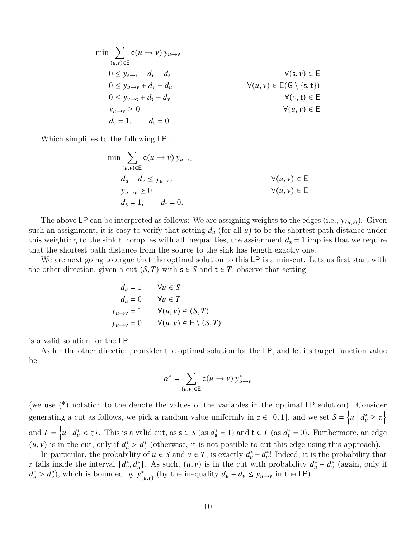$$
\min \sum_{(u,v)\in E} c(u \to v) y_{u \to v}
$$
\n
$$
0 \le y_{s \to v} + d_v - d_s \qquad \forall (s, v) \in E
$$
\n
$$
0 \le y_{u \to v} + d_v - d_u \qquad \forall (u, v) \in E(G \setminus \{s, t\})
$$
\n
$$
0 \le y_{v \to t} + d_t - d_v \qquad \forall (v, t) \in E
$$
\n
$$
y_{u \to v} \ge 0 \qquad \forall (u, v) \in E
$$
\n
$$
d_s = 1, \qquad d_t = 0
$$

Which simplifies to the following LP:

$$
\min \sum_{(u,v)\in \mathsf{E}} c(u \to v) y_{u \to v}
$$
\n
$$
d_u - d_v \le y_{u \to v}
$$
\n
$$
y_{u \to v} \ge 0
$$
\n
$$
d_s = 1, \qquad d_t = 0.
$$
\nWhen  $u$  is the function  $u$  and  $u$  is the function  $u$  and  $u$  is the function  $u$  and  $u$  is the function  $u$  and  $u$  is the function  $u$  and  $u$  is the function  $u$  and  $u$  is the function  $u$  and  $u$  is the function  $u$  and  $u$  is the function  $u$  and  $u$  is the function  $u$  and  $u$  is the function  $u$  and  $u$  is the function  $u$  and  $u$  is the function  $u$  and  $u$  is the function  $u$  and  $u$  is the function  $u$  and  $u$  is the function  $u$  and  $u$  is the function  $u$  and  $u$  is the function  $u$  and  $u$  is the function  $u$  and  $u$  is the function  $u$  and  $u$  is the function  $u$  and  $u$  is the function  $u$  and  $u$  is the function  $u$  and  $u$  is the function  $u$  and  $u$  is the function  $u$  and  $u$  is the function  $u$  and  $u$  is the function  $u$  and  $u$  is the function  $u$  and  $u$  is the function  $u$  and  $u$  is the function  $u$  and  $u$  is the function  $u$  and  $u$  is the function  $u$  and  $u$  is the function  $u$  and  $u$  is the function  $u$  and  $u$  is the function  $u$  and  $u$  is the function  $u$  and  $u$  is the

The above LP can be interpreted as follows: We are assigning weights to the edges (i.e.,  $y_{(u,v)}$ ). Given such an assignment, it is easy to verify that setting  $d_u$  (for all  $u$ ) to be the shortest path distance under this weighting to the sink t, complies with all inequalities, the assignment  $d_s = 1$  implies that we require that the shortest path distance from the source to the sink has length exactly one.

We are next going to argue that the optimal solution to this LP is a min-cut. Lets us first start with the other direction, given a cut  $(S, T)$  with  $s \in S$  and  $t \in T$ , observe that setting

$$
d_u = 1 \qquad \forall u \in S
$$
  
\n
$$
d_u = 0 \qquad \forall u \in T
$$
  
\n
$$
y_{u \to v} = 1 \qquad \forall (u, v) \in (S, T)
$$
  
\n
$$
y_{u \to v} = 0 \qquad \forall (u, v) \in E \setminus (S, T)
$$

is a valid solution for the LP.

As for the other direction, consider the optimal solution for the LP, and let its target function value be

$$
\alpha^* = \sum_{(u,v)\in \mathsf{E}} \mathsf{c}(u \to v) \, y^*_{u \to v}
$$

(we use (\*) notation to the denote the values of the variables in the optimal LP solution). Consider generating a cut as follows, we pick a random value uniformly in  $z \in [0, 1]$ , and we set  $S = \{u \mid \frac{z}{z} \in [0, 1]$  $d_u^* \geq z$ and  $T = \left\{ u \mid u \right\}$  $d_u^* < z$ . This is a valid cut, as  $s \in S$  (as  $d_s^* = 1$ ) and  $t \in T$  (as  $d_t^* = 0$ ). Furthermore, an edge  $(u, v)$  is in the cut, only if  $d_u^* > d_v^*$  (otherwise, it is not possible to cut this edge using this approach).

In particular, the probability of  $u \in S$  and  $v \in T$ , is exactly  $d_u^* - d_v^*$ ! Indeed, it is the probability that z falls inside the interval  $[d_v^*, d_u^*]$ . As such,  $(u, v)$  is in the cut with probability  $d_u^* - d_v^*$  (again, only if  $d_u^* > d_v^*$ , which is bounded by  $y_{(u,v)}^*$  (by the inequality  $d_u - d_v \leq y_{u \to v}$  in the LP).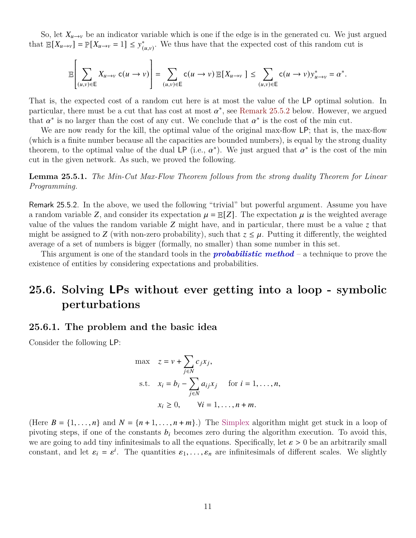So, let  $X_{u\to v}$  be an indicator variable which is one if the edge is in the generated cu. We just argued that  $\mathbb{E}[X_{u\to v}] = \mathbb{P}[X_{u\to v} = 1] \leq y^*_{(u,v)}$ . We thus have that the expected cost of this random cut is

$$
\mathbb{E}\left[\sum_{(u,v)\in E}X_{u\to v}c(u\to v)\right]=\sum_{(u,v)\in E}c(u\to v)\mathbb{E}[X_{u\to v}]\leq \sum_{(u,v)\in E}c(u\to v)y_{u\to v}^*=a^*.
$$

That is, the expected cost of a random cut here is at most the value of the LP optimal solution. In particular, there must be a cut that has cost at most  $\alpha^*$ , see [Remark 25.5.2](#page-10-1) below. However, we argued that  $\alpha^*$  is no larger than the cost of any cut. We conclude that  $\alpha^*$  is the cost of the min cut.

We are now ready for the kill, the optimal value of the original max-flow LP; that is, the max-flow (which is a finite number because all the capacities are bounded numbers), is equal by the strong duality theorem, to the optimal value of the dual LP (i.e.,  $\alpha^*$ ). We just argued that  $\alpha^*$  is the cost of the min cut in the given network. As such, we proved the following.

**Lemma 25.5.1.** *The Min-Cut Max-Flow Theorem follows from the strong duality Theorem for Linear Programming.*

<span id="page-10-1"></span>Remark 25.5.2. In the above, we used the following "trivial" but powerful argument. Assume you have a random variable Z, and consider its expectation  $\mu = \mathbb{E}[Z]$ . The expectation  $\mu$  is the weighted average value of the values the random variable  $Z$  might have, and in particular, there must be a value  $\zeta$  that might be assigned to Z (with non-zero probability), such that  $z \leq \mu$ . Putting it differently, the weighted average of a set of numbers is bigger (formally, no smaller) than some number in this set.

This argument is one of the standard tools in the *probabilistic method* – a technique to prove the existence of entities by considering expectations and probabilities.

## <span id="page-10-0"></span>**25.6. Solving LPs without ever getting into a loop - symbolic perturbations**

### **25.6.1. The problem and the basic idea**

Consider the following LP:

$$
\max \quad z = v + \sum_{j \in N} c_j x_j,
$$
\n
$$
\text{s.t.} \quad x_i = b_i - \sum_{j \in N} a_{ij} x_j \quad \text{for } i = 1, \dots, n,
$$
\n
$$
x_i \ge 0, \quad \forall i = 1, \dots, n + m.
$$

(Here  $B = \{1, \ldots, n\}$  and  $N = \{n+1, \ldots, n+m\}$ .) The Simplex algorithm might get stuck in a loop of pivoting steps, if one of the constants  $b_i$  becomes zero during the algorithm execution. To avoid this, we are going to add tiny infinitesimals to all the equations. Specifically, let  $\varepsilon > 0$  be an arbitrarily small constant, and let  $\varepsilon_i = \varepsilon^i$ . The quantities  $\varepsilon_1, \ldots, \varepsilon_n$  are infinitesimals of different scales. We slightly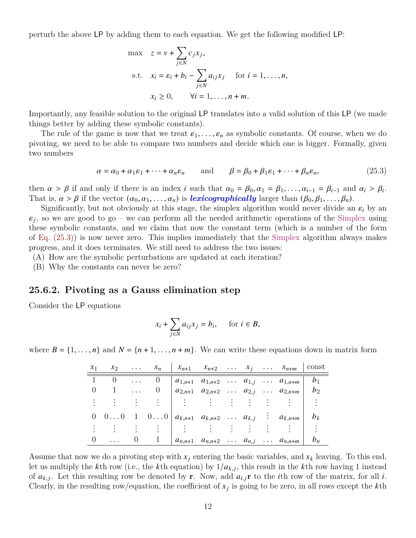perturb the above LP by adding them to each equation. We get the following modified LP:

$$
\max \quad z = v + \sum_{j \in N} c_j x_j,
$$
\n
$$
\text{s.t.} \quad x_i = \varepsilon_i + b_i - \sum_{j \in N} a_{ij} x_j \quad \text{for } i = 1, \dots, n,
$$
\n
$$
x_i \ge 0, \qquad \forall i = 1, \dots, n + m.
$$

Importantly, any feasible solution to the original LP translates into a valid solution of this LP (we made things better by adding these symbolic constants).

The rule of the game is now that we treat  $\varepsilon_1, \ldots, \varepsilon_n$  as symbolic constants. Of course, when we do pivoting, we need to be able to compare two numbers and decide which one is bigger. Formally, given two numbers

$$
\alpha = \alpha_0 + \alpha_1 \varepsilon_1 + \dots + \alpha_n \varepsilon_n \quad \text{and} \quad \beta = \beta_0 + \beta_1 \varepsilon_1 + \dots + \beta_n \varepsilon_n, \tag{25.3}
$$

then  $\alpha > \beta$  if and only if there is an index *i* such that  $\alpha_0 = \beta_0, \alpha_1 = \beta_1, \ldots, \alpha_{i-1} = \beta_{i-1}$  and  $\alpha_i > \beta_i$ . That is,  $\alpha > \beta$  if the vector  $(\alpha_0, \alpha_1, \ldots, \alpha_n)$  is **lexicographically** larger than  $(\beta_0, \beta_1, \ldots, \beta_n)$ .

Significantly, but not obviously at this stage, the simplex algorithm would never divide an  $\varepsilon_i$  by an  $\varepsilon_i$ , so we are good to go – we can perform all the needed arithmetic operations of the Simplex using these symbolic constants, and we claim that now the constant term (which is a number of the form of [Eq. \(25.3\)\)](#page-11-0) is now never zero. This implies immediately that the Simplex algorithm always makes progress, and it does terminates. We still need to address the two issues:

(A) How are the symbolic perturbations are updated at each iteration?

(B) Why the constants can never be zero?

#### **25.6.2. Pivoting as a Gauss elimination step**

Consider the LP equations

<span id="page-11-0"></span>
$$
x_i + \sum_{j \in N} a_{ij} x_j = b_i, \quad \text{for } i \in B,
$$

where  $B = \{1, \ldots, n\}$  and  $N = \{n+1, \ldots, n+m\}$ . We can write these equations down in matrix form

| $x_1$ |            |        | $x_2$ $x_n$ |  |  | $\begin{vmatrix} x_{n+1} & x_{n+2} & \dots & x_j & \dots & x_{n+m} \end{vmatrix}$          | const |
|-------|------------|--------|-------------|--|--|--------------------------------------------------------------------------------------------|-------|
|       |            |        | $\theta$    |  |  | $a_{1,n+1}$ $a_{1,n+2}$ $a_{1,j}$ $a_{1,n+m}$ $b_1$                                        |       |
|       | $1 \ldots$ |        |             |  |  | $ a_{2,n+1} \quad a_{2,n+2} \quad \ldots \quad a_{2,j} \quad \ldots \quad a_{2,n+m}   b_2$ |       |
|       |            |        |             |  |  | 그는 아이들이 나서 아이를 사랑하고 있다.                                                                    |       |
|       |            |        |             |  |  | 0 0 0 1 0 0 $a_{k,n+1}$ $a_{k,n+2}$ $a_{k,j}$ : $a_{k,n+m}$ $b_k$                          |       |
|       |            |        |             |  |  |                                                                                            |       |
|       |            | $\cup$ |             |  |  | $a_{n,n+1}$ $a_{n,n+2}$ $a_{n,j}$ $a_{n,n+m}$                                              | $b_n$ |

Assume that now we do a pivoting step with  $x_j$  entering the basic variables, and  $x_k$  leaving. To this end, let us multiply the k<sup>th</sup> row (i.e., the k<sup>th</sup> equation) by  $1/a_{k,j}$ , this result in the k<sup>th</sup> row having 1 instead of  $a_{k,j}$ . Let this resulting row be denoted by **r**. Now, add  $a_{i,j}$ **r** to the *i*th row of the matrix, for all *i*. Clearly, in the resulting row/equation, the coefficient of  $x_i$  is going to be zero, in all rows except the kth